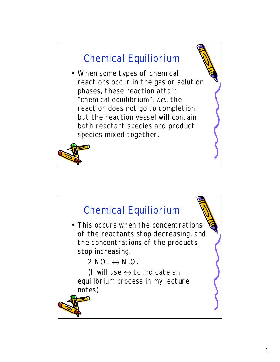## Chemical Equilibrium • When some types of chemical reactions occur in the gas or solution phases, these reaction attain "chemical equilibrium", i.e., the reaction does not go to completion, but the reaction vessel will contain both reactant species and product species mixed together.

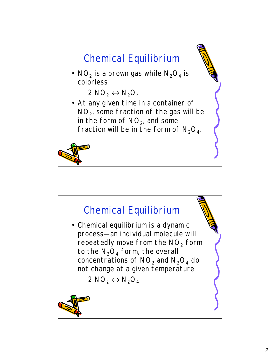

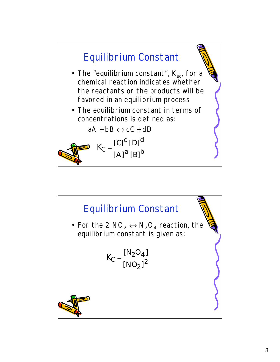

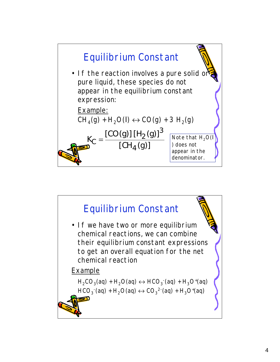

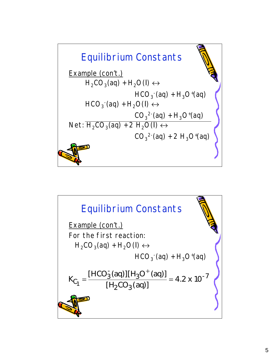

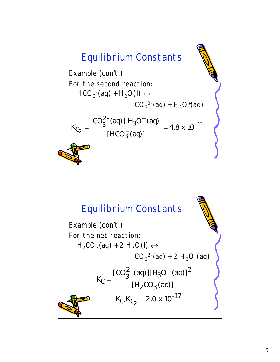

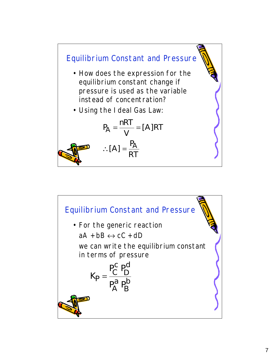

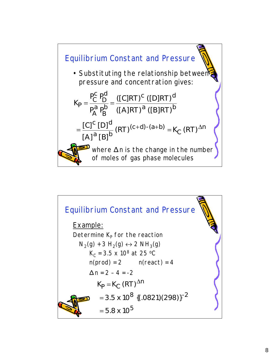

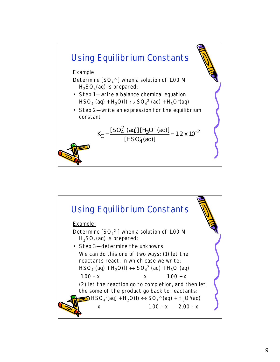

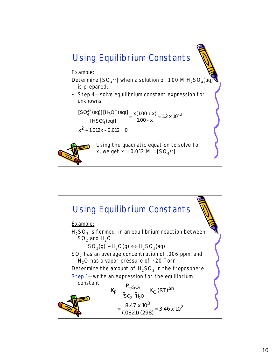

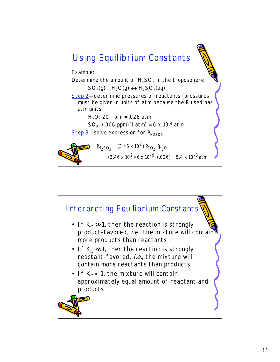

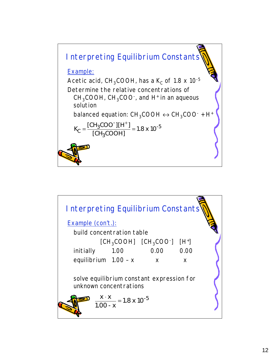

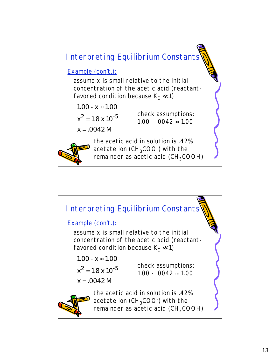

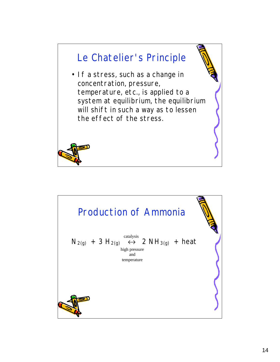

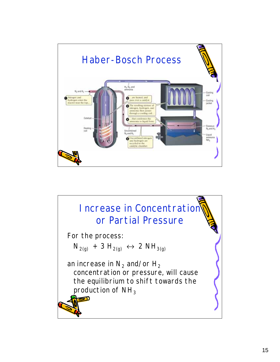

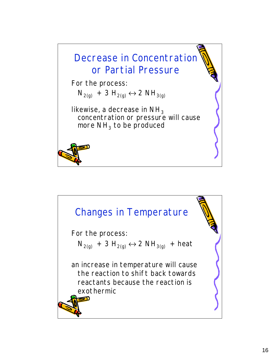

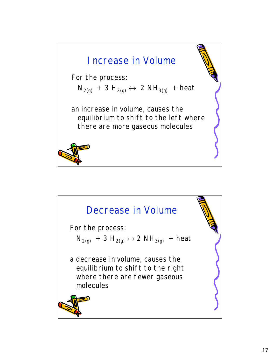